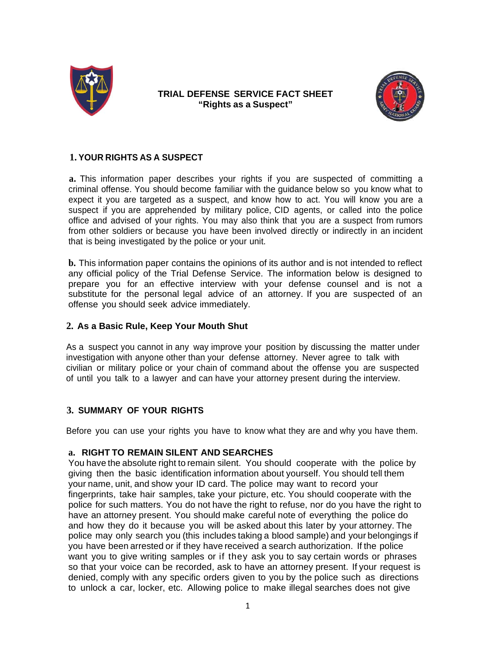

### **TRIAL DEFENSE SERVICE FACT SHEET "Rights as a Suspect"**



# **1. YOUR RIGHTS AS A SUSPECT**

**a.** This information paper describes your rights if you are suspected of committing a criminal offense. You should become familiar with the guidance below so you know what to expect it you are targeted as a suspect, and know how to act. You will know you are a suspect if you are apprehended by military police, CID agents, or called into the police office and advised of your rights. You may also think that you are a suspect from rumors from other soldiers or because you have been involved directly or indirectly in an incident that is being investigated by the police or your unit.

**b.** This information paper contains the opinions of its author and is not intended to reflect any official policy of the Trial Defense Service. The information below is designed to prepare you for an effective interview with your defense counsel and is not a substitute for the personal legal advice of an attorney. If you are suspected of an offense you should seek advice immediately.

### **2. As a Basic Rule, Keep Your Mouth Shut**

As a suspect you cannot in any way improve your position by discussing the matter under investigation with anyone other than your defense attorney. Never agree to talk with civilian or military police or your chain of command about the offense you are suspected of until you talk to a lawyer and can have your attorney present during the interview.

## **3. SUMMARY OF YOUR RIGHTS**

Before you can use your rights you have to know what they are and why you have them.

### **a. RIGHT TO REMAIN SILENT AND SEARCHES**

You have the absolute right to remain silent. You should cooperate with the police by giving then the basic identification information about yourself. You should tell them your name, unit, and show your ID card. The police may want to record your fingerprints, take hair samples, take your picture, etc. You should cooperate with the police for such matters. You do not have the right to refuse, nor do you have the right to have an attorney present. You should make careful note of everything the police do and how they do it because you will be asked about this later by your attorney. The police may only search you (this includes taking a blood sample) and your belongings if you have been arrested or if they have received a search authorization. If the police want you to give writing samples or if they ask you to say certain words or phrases so that your voice can be recorded, ask to have an attorney present. If your request is denied, comply with any specific orders given to you by the police such as directions to unlock a car, locker, etc. Allowing police to make illegal searches does not give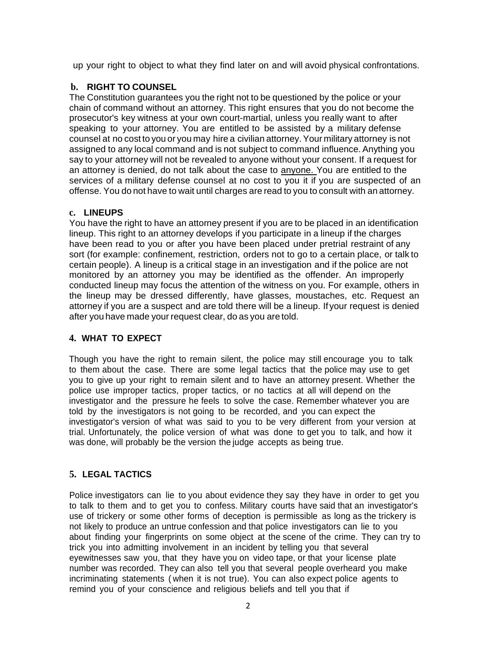up your right to object to what they find later on and will avoid physical confrontations.

## **b. RIGHT TO COUNSEL**

The Constitution guarantees you the right not to be questioned by the police or your chain of command without an attorney. This right ensures that you do not become the prosecutor's key witness at your own court-martial, unless you really want to after speaking to your attorney. You are entitled to be assisted by a military defense counsel at no cost to you or you may hire a civilian attorney. Your military attorney is not assigned to any local command and is not subject to command influence. Anything you say to your attorney will not be revealed to anyone without your consent. If a request for an attorney is denied, do not talk about the case to anyone. You are entitled to the services of a military defense counsel at no cost to you it if you are suspected of an offense. You do not have to wait until charges are read to you to consult with an attorney.

## **c. LINEUPS**

You have the right to have an attorney present if you are to be placed in an identification lineup. This right to an attorney develops if you participate in a lineup if the charges have been read to you or after you have been placed under pretrial restraint of any sort (for example: confinement, restriction, orders not to go to a certain place, or talk to certain people). A lineup is a critical stage in an investigation and if the police are not monitored by an attorney you may be identified as the offender. An improperly conducted lineup may focus the attention of the witness on you. For example, others in the lineup may be dressed differently, have glasses, moustaches, etc. Request an attorney if you are a suspect and are told there will be a lineup. If your request is denied after you have made your request clear, do as you are told.

## **4. WHAT TO EXPECT**

Though you have the right to remain silent, the police may still encourage you to talk to them about the case. There are some legal tactics that the police may use to get you to give up your right to remain silent and to have an attorney present. Whether the police use improper tactics, proper tactics, or no tactics at all will depend on the investigator and the pressure he feels to solve the case. Remember whatever you are told by the investigators is not going to be recorded, and you can expect the investigator's version of what was said to you to be very different from your version at trial. Unfortunately, the police version of what was done to get you to talk, and how it was done, will probably be the version the judge accepts as being true.

## **5. LEGAL TACTICS**

Police investigators can lie to you about evidence they say they have in order to get you to talk to them and to get you to confess. Military courts have said that an investigator's use of trickery or some other forms of deception is permissible as long as the trickery is not likely to produce an untrue confession and that police investigators can lie to you about finding your fingerprints on some object at the scene of the crime. They can try to trick you into admitting involvement in an incident by telling you that several eyewitnesses saw you, that they have you on video tape, or that your license plate number was recorded. They can also tell you that several people overheard you make incriminating statements ( when it is not true). You can also expect police agents to remind you of your conscience and religious beliefs and tell you that if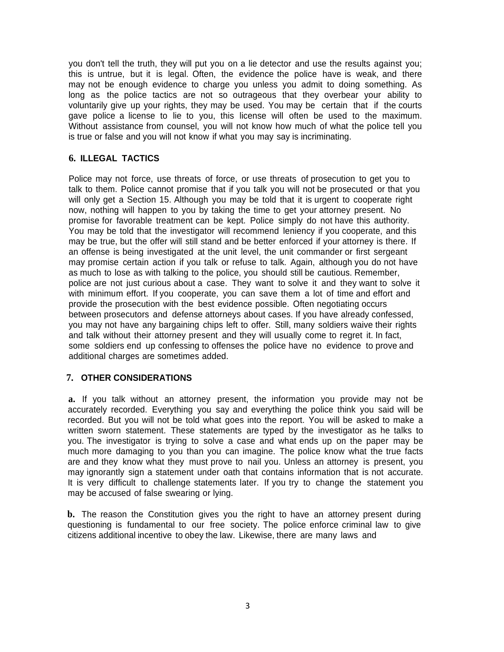you don't tell the truth, they will put you on a lie detector and use the results against you; this is untrue, but it is legal. Often, the evidence the police have is weak, and there may not be enough evidence to charge you unless you admit to doing something. As long as the police tactics are not so outrageous that they overbear your ability to voluntarily give up your rights, they may be used. You may be certain that if the courts gave police a license to lie to you, this license will often be used to the maximum. Without assistance from counsel, you will not know how much of what the police tell you is true or false and you will not know if what you may say is incriminating.

### **6. ILLEGAL TACTICS**

Police may not force, use threats of force, or use threats of prosecution to get you to talk to them. Police cannot promise that if you talk you will not be prosecuted or that you will only get a Section 15. Although you may be told that it is urgent to cooperate right now, nothing will happen to you by taking the time to get your attorney present. No promise for favorable treatment can be kept. Police simply do not have this authority. You may be told that the investigator will recommend leniency if you cooperate, and this may be true, but the offer will still stand and be better enforced if your attorney is there. If an offense is being investigated at the unit level, the unit commander or first sergeant may promise certain action if you talk or refuse to talk. Again, although you do not have as much to lose as with talking to the police, you should still be cautious. Remember, police are not just curious about a case. They want to solve it and they want to solve it with minimum effort. If you cooperate, you can save them a lot of time and effort and provide the prosecution with the best evidence possible. Often negotiating occurs between prosecutors and defense attorneys about cases. If you have already confessed, you may not have any bargaining chips left to offer. Still, many soldiers waive their rights and talk without their attorney present and they will usually come to regret it. In fact, some soldiers end up confessing to offenses the police have no evidence to prove and additional charges are sometimes added.

### **7. OTHER CONSIDERATIONS**

**a.** If you talk without an attorney present, the information you provide may not be accurately recorded. Everything you say and everything the police think you said will be recorded. But you will not be told what goes into the report. You will be asked to make a written sworn statement. These statements are typed by the investigator as he talks to you. The investigator is trying to solve a case and what ends up on the paper may be much more damaging to you than you can imagine. The police know what the true facts are and they know what they must prove to nail you. Unless an attorney is present, you may ignorantly sign a statement under oath that contains information that is not accurate. It is very difficult to challenge statements later. If you try to change the statement you may be accused of false swearing or lying.

**b.** The reason the Constitution gives you the right to have an attorney present during questioning is fundamental to our free society. The police enforce criminal law to give citizens additional incentive to obey the law. Likewise, there are many laws and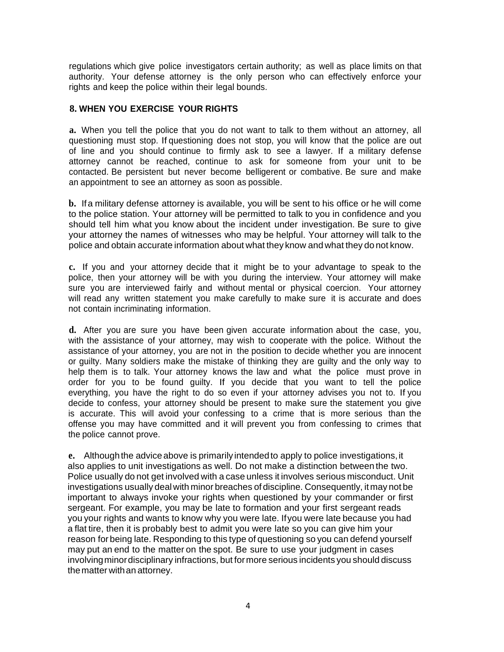regulations which give police investigators certain authority; as well as place limits on that authority. Your defense attorney is the only person who can effectively enforce your rights and keep the police within their legal bounds.

### **8. WHEN YOU EXERCISE YOUR RIGHTS**

**a.** When you tell the police that you do not want to talk to them without an attorney, all questioning must stop. If questioning does not stop, you will know that the police are out of line and you should continue to firmly ask to see a lawyer. If a military defense attorney cannot be reached, continue to ask for someone from your unit to be contacted. Be persistent but never become belligerent or combative. Be sure and make an appointment to see an attorney as soon as possible.

**b.** If a military defense attorney is available, you will be sent to his office or he will come to the police station. Your attorney will be permitted to talk to you in confidence and you should tell him what you know about the incident under investigation. Be sure to give your attorney the names of witnesses who may be helpful. Your attorney will talk to the police and obtain accurate information about what they know and what they do not know.

**c.** If you and your attorney decide that it might be to your advantage to speak to the police, then your attorney will be with you during the interview. Your attorney will make sure you are interviewed fairly and without mental or physical coercion. Your attorney will read any written statement you make carefully to make sure it is accurate and does not contain incriminating information.

**d.** After you are sure you have been given accurate information about the case, you, with the assistance of your attorney, may wish to cooperate with the police. Without the assistance of your attorney, you are not in the position to decide whether you are innocent or guilty. Many soldiers make the mistake of thinking they are guilty and the only way to help them is to talk. Your attorney knows the law and what the police must prove in order for you to be found guilty. If you decide that you want to tell the police everything, you have the right to do so even if your attorney advises you not to. If you decide to confess, your attorney should be present to make sure the statement you give is accurate. This will avoid your confessing to a crime that is more serious than the offense you may have committed and it will prevent you from confessing to crimes that the police cannot prove.

**e.** Although the advice above is primarily intended to apply to police investigations, it also applies to unit investigations as well. Do not make a distinction between the two. Police usually do not get involved with a case unless it involves serious misconduct. Unit investigations usually deal with minor breaches of discipline. Consequently, it may not be important to always invoke your rights when questioned by your commander or first sergeant. For example, you may be late to formation and your first sergeant reads you your rights and wants to know why you were late. If you were late because you had a flat tire, then it is probably best to admit you were late so you can give him your reason for being late. Responding to this type of questioning so you can defend yourself may put an end to the matter on the spot. Be sure to use your judgment in cases involving minor disciplinary infractions, but for more serious incidents you should discuss the matter with an attorney.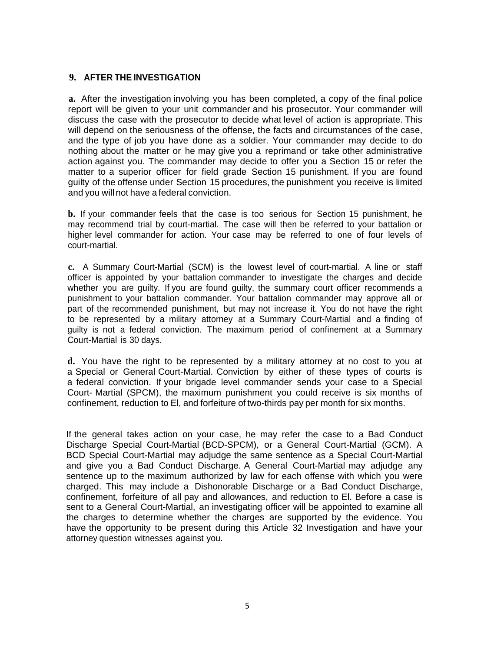### **9. AFTER THE INVESTIGATION**

**a.** After the investigation involving you has been completed, a copy of the final police report will be given to your unit commander and his prosecutor. Your commander will discuss the case with the prosecutor to decide what level of action is appropriate. This will depend on the seriousness of the offense, the facts and circumstances of the case, and the type of job you have done as a soldier. Your commander may decide to do nothing about the matter or he may give you a reprimand or take other administrative action against you. The commander may decide to offer you a Section 15 or refer the matter to a superior officer for field grade Section 15 punishment. If you are found guilty of the offense under Section 15 procedures, the punishment you receive is limited and you will not have a federal conviction.

**b.** If your commander feels that the case is too serious for Section 15 punishment, he may recommend trial by court-martial. The case will then be referred to your battalion or higher level commander for action. Your case may be referred to one of four levels of court-martial.

**c.** A Summary Court-Martial (SCM) is the lowest level of court-martial. A line or staff officer is appointed by your battalion commander to investigate the charges and decide whether you are guilty. If you are found guilty, the summary court officer recommends a punishment to your battalion commander. Your battalion commander may approve all or part of the recommended punishment, but may not increase it. You do not have the right to be represented by a military attorney at a Summary Court-Martial and a finding of guilty is not a federal conviction. The maximum period of confinement at a Summary Court-Martial is 30 days.

**d.** You have the right to be represented by a military attorney at no cost to you at a Special or General Court-Martial. Conviction by either of these types of courts is a federal conviction. If your brigade level commander sends your case to a Special Court- Martial (SPCM), the maximum punishment you could receive is six months of confinement, reduction to El, and forfeiture of two-thirds pay per month for six months.

If the general takes action on your case, he may refer the case to a Bad Conduct Discharge Special Court-Martial (BCD-SPCM), or a General Court-Martial (GCM). A BCD Special Court-Martial may adjudge the same sentence as a Special Court-Martial and give you a Bad Conduct Discharge. A General Court-Martial may adjudge any sentence up to the maximum authorized by law for each offense with which you were charged. This may include a Dishonorable Discharge or a Bad Conduct Discharge, confinement, forfeiture of all pay and allowances, and reduction to El. Before a case is sent to a General Court-Martial, an investigating officer will be appointed to examine all the charges to determine whether the charges are supported by the evidence. You have the opportunity to be present during this Article 32 Investigation and have your attorney question witnesses against you.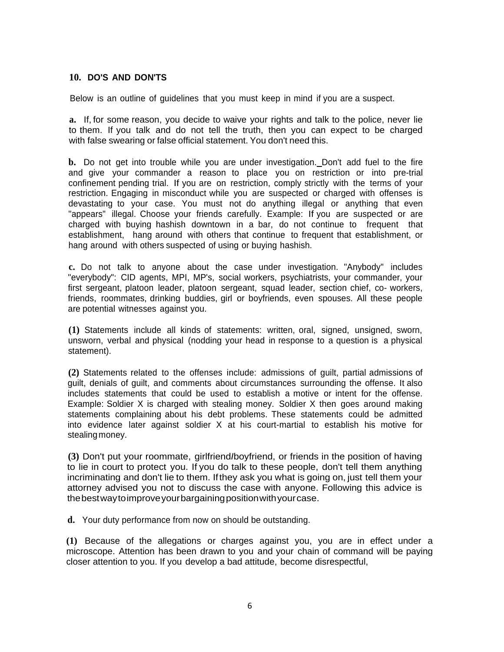#### **10. DO'S AND DON'TS**

Below is an outline of guidelines that you must keep in mind if you are a suspect.

**a.** If, for some reason, you decide to waive your rights and talk to the police, never lie to them. If you talk and do not tell the truth, then you can expect to be charged with false swearing or false official statement. You don't need this.

**b.** Do not get into trouble while you are under investigation. Don't add fuel to the fire and give your commander a reason to place you on restriction or into pre-trial confinement pending trial. If you are on restriction, comply strictly with the terms of your restriction. Engaging in misconduct while you are suspected or charged with offenses is devastating to your case. You must not do anything illegal or anything that even "appears" illegal. Choose your friends carefully. Example: If you are suspected or are charged with buying hashish downtown in a bar, do not continue to frequent that establishment, hang around with others that continue to frequent that establishment, or hang around with others suspected of using or buying hashish.

**c.** Do not talk to anyone about the case under investigation. "Anybody" includes "everybody": CID agents, MPI, MP's, social workers, psychiatrists, your commander, your first sergeant, platoon leader, platoon sergeant, squad leader, section chief, co- workers, friends, roommates, drinking buddies, girl or boyfriends, even spouses. All these people are potential witnesses against you.

**(1)** Statements include all kinds of statements: written, oral, signed, unsigned, sworn, unsworn, verbal and physical (nodding your head in response to a question is a physical statement).

**(2)** Statements related to the offenses include: admissions of guilt, partial admissions of guilt, denials of guilt, and comments about circumstances surrounding the offense. It also includes statements that could be used to establish a motive or intent for the offense. Example: Soldier X is charged with stealing money. Soldier X then goes around making statements complaining about his debt problems. These statements could be admitted into evidence later against soldier X at his court-martial to establish his motive for stealing money.

**(3)** Don't put your roommate, girlfriend*I*boyfriend, or friends in the position of having to lie in court to protect you. If you do talk to these people, don't tell them anything incriminating and don't lie to them. If they ask you what is going on, just tell them your attorney advised you not to discuss the case with anyone. Following this advice is the best way to improve your bargaining position with your case.

**d.** Your duty performance from now on should be outstanding.

**(1)** Because of the allegations or charges against you, you are in effect under a microscope. Attention has been drawn to you and your chain of command will be paying closer attention to you. If you develop a bad attitude, become disrespectful,